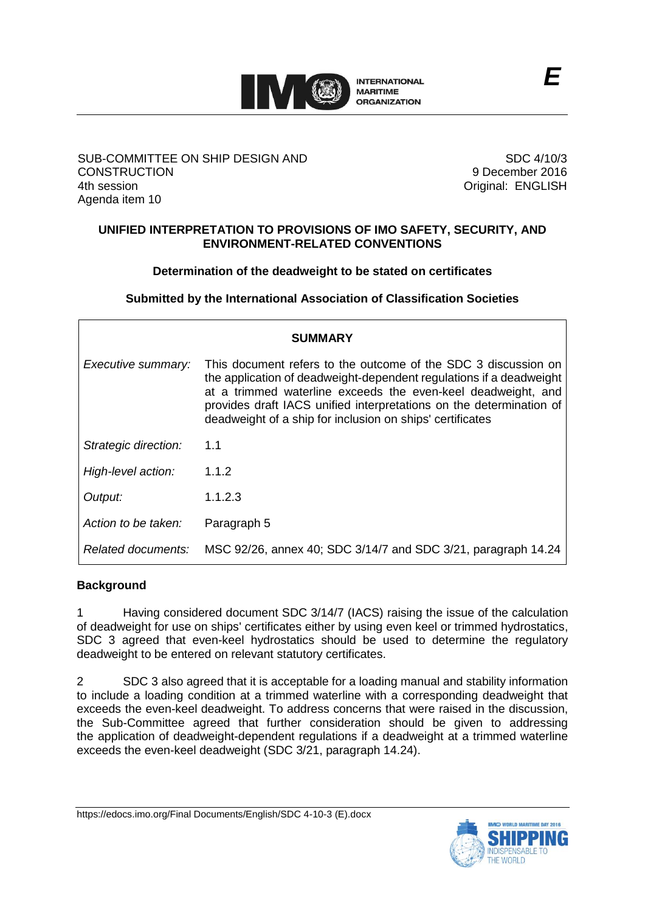

## SUB-COMMITTEE ON SHIP DESIGN AND **CONSTRUCTION** 4th session Agenda item 10

SDC 4/10/3 9 December 2016 Original: ENGLISH

## **UNIFIED INTERPRETATION TO PROVISIONS OF IMO SAFETY, SECURITY, AND ENVIRONMENT-RELATED CONVENTIONS**

# **Determination of the deadweight to be stated on certificates**

**Submitted by the International Association of Classification Societies**

| <b>SUMMARY</b>       |                                                                                                                                                                                                                                                                                                                                           |
|----------------------|-------------------------------------------------------------------------------------------------------------------------------------------------------------------------------------------------------------------------------------------------------------------------------------------------------------------------------------------|
| Executive summary:   | This document refers to the outcome of the SDC 3 discussion on<br>the application of deadweight-dependent regulations if a deadweight<br>at a trimmed waterline exceeds the even-keel deadweight, and<br>provides draft IACS unified interpretations on the determination of<br>deadweight of a ship for inclusion on ships' certificates |
| Strategic direction: | 1.1                                                                                                                                                                                                                                                                                                                                       |
| High-level action:   | 1.1.2                                                                                                                                                                                                                                                                                                                                     |
| Output:              | 1.1.2.3                                                                                                                                                                                                                                                                                                                                   |
| Action to be taken:  | Paragraph 5                                                                                                                                                                                                                                                                                                                               |
| Related documents:   | MSC 92/26, annex 40; SDC 3/14/7 and SDC 3/21, paragraph 14.24                                                                                                                                                                                                                                                                             |

## **Background**

1 Having considered document SDC 3/14/7 (IACS) raising the issue of the calculation of deadweight for use on ships' certificates either by using even keel or trimmed hydrostatics, SDC 3 agreed that even-keel hydrostatics should be used to determine the regulatory deadweight to be entered on relevant statutory certificates.

2 SDC 3 also agreed that it is acceptable for a loading manual and stability information to include a loading condition at a trimmed waterline with a corresponding deadweight that exceeds the even-keel deadweight. To address concerns that were raised in the discussion, the Sub-Committee agreed that further consideration should be given to addressing the application of deadweight-dependent regulations if a deadweight at a trimmed waterline exceeds the even-keel deadweight (SDC 3/21, paragraph 14.24).

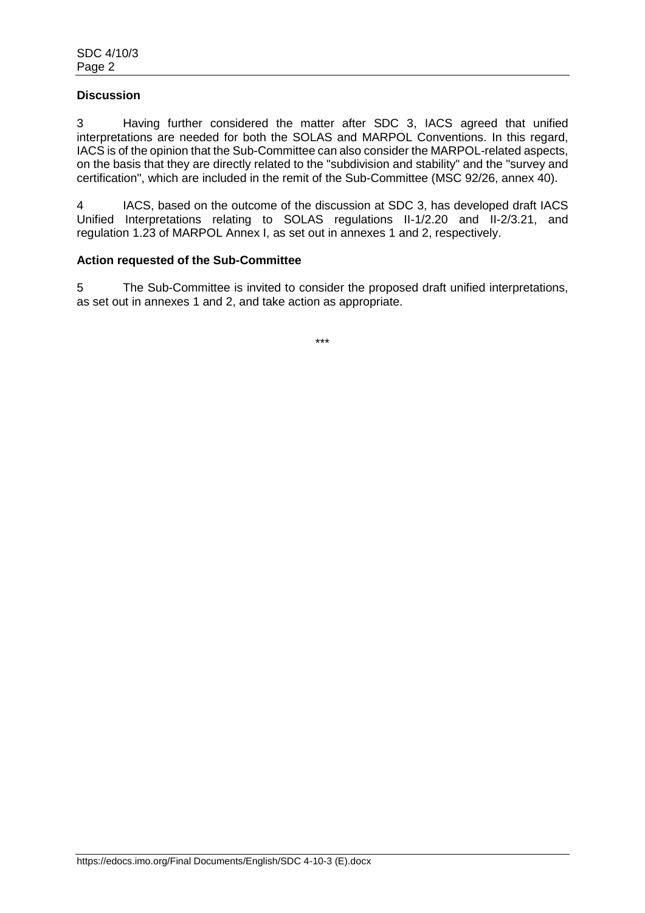## **Discussion**

3 Having further considered the matter after SDC 3, IACS agreed that unified interpretations are needed for both the SOLAS and MARPOL Conventions. In this regard, IACS is of the opinion that the Sub-Committee can also consider the MARPOL-related aspects, on the basis that they are directly related to the "subdivision and stability" and the "survey and certification", which are included in the remit of the Sub-Committee (MSC 92/26, annex 40).

4 IACS, based on the outcome of the discussion at SDC 3, has developed draft IACS Unified Interpretations relating to SOLAS regulations II-1/2.20 and II-2/3.21, and regulation 1.23 of MARPOL Annex I, as set out in annexes 1 and 2, respectively.

### **Action requested of the Sub-Committee**

5 The Sub-Committee is invited to consider the proposed draft unified interpretations, as set out in annexes 1 and 2, and take action as appropriate.

\*\*\*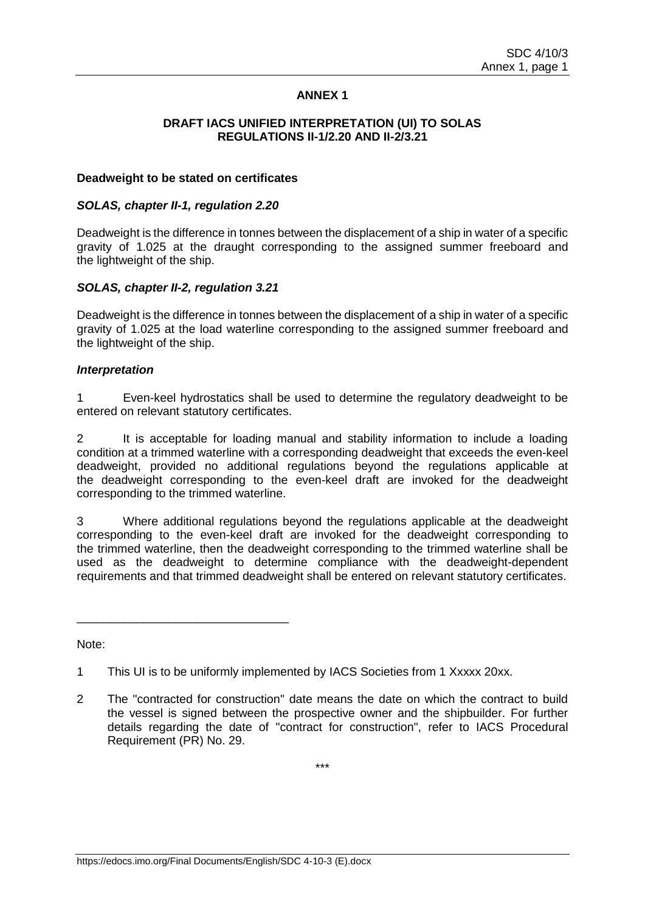## **ANNEX 1**

#### **DRAFT IACS UNIFIED INTERPRETATION (UI) TO SOLAS REGULATIONS II-1/2.20 AND II-2/3.21**

#### **Deadweight to be stated on certificates**

#### *SOLAS, chapter II-1, regulation 2.20*

Deadweight is the difference in tonnes between the displacement of a ship in water of a specific gravity of 1.025 at the draught corresponding to the assigned summer freeboard and the lightweight of the ship.

## *SOLAS, chapter II-2, regulation 3.21*

\_\_\_\_\_\_\_\_\_\_\_\_\_\_\_\_\_\_\_\_\_\_\_\_\_\_\_\_\_\_\_\_

Deadweight is the difference in tonnes between the displacement of a ship in water of a specific gravity of 1.025 at the load waterline corresponding to the assigned summer freeboard and the lightweight of the ship.

### *Interpretation*

1 Even-keel hydrostatics shall be used to determine the regulatory deadweight to be entered on relevant statutory certificates.

2 It is acceptable for loading manual and stability information to include a loading condition at a trimmed waterline with a corresponding deadweight that exceeds the even-keel deadweight, provided no additional regulations beyond the regulations applicable at the deadweight corresponding to the even-keel draft are invoked for the deadweight corresponding to the trimmed waterline.

3 Where additional regulations beyond the regulations applicable at the deadweight corresponding to the even-keel draft are invoked for the deadweight corresponding to the trimmed waterline, then the deadweight corresponding to the trimmed waterline shall be used as the deadweight to determine compliance with the deadweight-dependent requirements and that trimmed deadweight shall be entered on relevant statutory certificates.

Note:

\*\*\*

<sup>1</sup> This UI is to be uniformly implemented by IACS Societies from 1 Xxxxx 20xx.

<sup>2</sup> The "contracted for construction" date means the date on which the contract to build the vessel is signed between the prospective owner and the shipbuilder. For further details regarding the date of "contract for construction", refer to IACS Procedural Requirement (PR) No. 29.